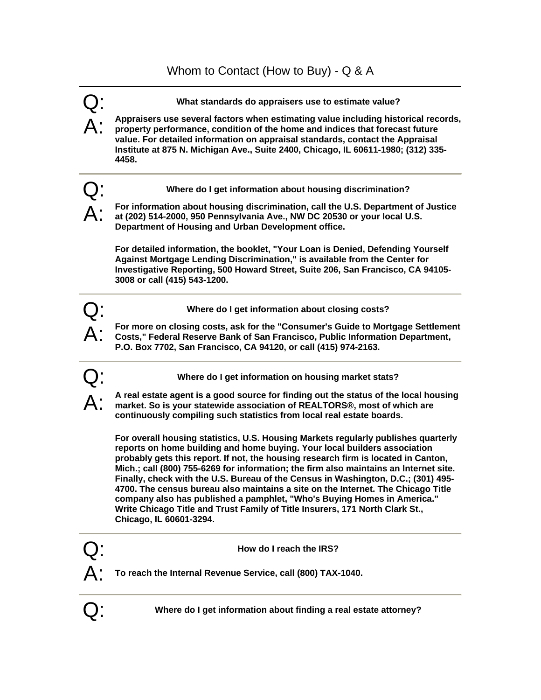

Q: **Where do I get information about finding a real estate attorney?**